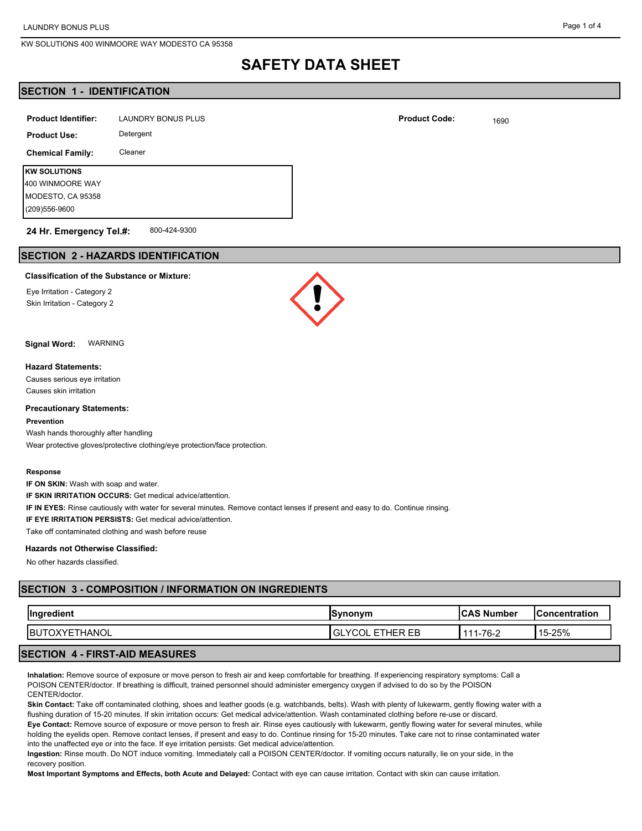## **SAFETY DATA SHEET**

## **SECTION 1 - IDENTIFICATION**

| <b>Product Identifier:</b> | <b>LAUNDRY BONUS PLUS</b> | <b>Product Code:</b> |
|----------------------------|---------------------------|----------------------|
| <b>Product Use:</b>        | Detergent                 |                      |
| <b>Chemical Family:</b>    | Cleaner                   |                      |
| <b>KW SOLUTIONS</b>        |                           |                      |
| 400 WINMOORE WAY           |                           |                      |
| MODESTO, CA 95358          |                           |                      |
| (209) 556-9600             |                           |                      |
|                            |                           |                      |

#### 800-424-9300 **24 Hr. Emergency Tel.#:**

## **SECTION 2 - HAZARDS IDENTIFICATION**

#### **Classification of the Substance or Mixture:**

Eye Irritation - Category 2 Skin Irritation - Category 2



**Signal Word:** WARNING

#### **Hazard Statements:**

Causes serious eye irritation Causes skin irritation

#### **Precautionary Statements:**

**Prevention**

Wash hands thoroughly after handling Wear protective gloves/protective clothing/eye protection/face protection.

#### **Response**

**IF ON SKIN:** Wash with soap and water.

**IF SKIN IRRITATION OCCURS:** Get medical advice/attention.

**IF IN EYES:** Rinse cautiously with water for several minutes. Remove contact lenses if present and easy to do. Continue rinsing.

**IF EYE IRRITATION PERSISTS:** Get medical advice/attention.

Take off contaminated clothing and wash before reuse

#### **Hazards not Otherwise Classified:**

No other hazards classified.

## **SECTION 3 - COMPOSITION / INFORMATION ON INGREDIENTS**

| Ingredient           | <b>Synonym</b>          | <b>ICAS Number</b> | <b>Concentration</b> |
|----------------------|-------------------------|--------------------|----------------------|
| <b>BUTOXYETHANOL</b> | <b>IGLYCOL ETHER EB</b> | 111-76-2           | 15-25%               |
| FIBOT AIR MEAQUBEQ   |                         |                    |                      |

### **SECTION 4 - FIRST-AID MEASURES**

**Inhalation:** Remove source of exposure or move person to fresh air and keep comfortable for breathing. If experiencing respiratory symptoms: Call a POISON CENTER/doctor. If breathing is difficult, trained personnel should administer emergency oxygen if advised to do so by the POISON CENTER/doctor.

**Skin Contact:** Take off contaminated clothing, shoes and leather goods (e.g. watchbands, belts). Wash with plenty of lukewarm, gently flowing water with a flushing duration of 15-20 minutes. If skin irritation occurs: Get medical advice/attention. Wash contaminated clothing before re-use or discard.

**Eye Contact:** Remove source of exposure or move person to fresh air. Rinse eyes cautiously with lukewarm, gently flowing water for several minutes, while holding the eyelids open. Remove contact lenses, if present and easy to do. Continue rinsing for 15-20 minutes. Take care not to rinse contaminated water into the unaffected eye or into the face. If eye irritation persists: Get medical advice/attention.

**Ingestion:** Rinse mouth. Do NOT induce vomiting. Immediately call a POISON CENTER/doctor. If vomiting occurs naturally, lie on your side, in the recovery position.

**Most Important Symptoms and Effects, both Acute and Delayed:** Contact with eye can cause irritation. Contact with skin can cause irritation.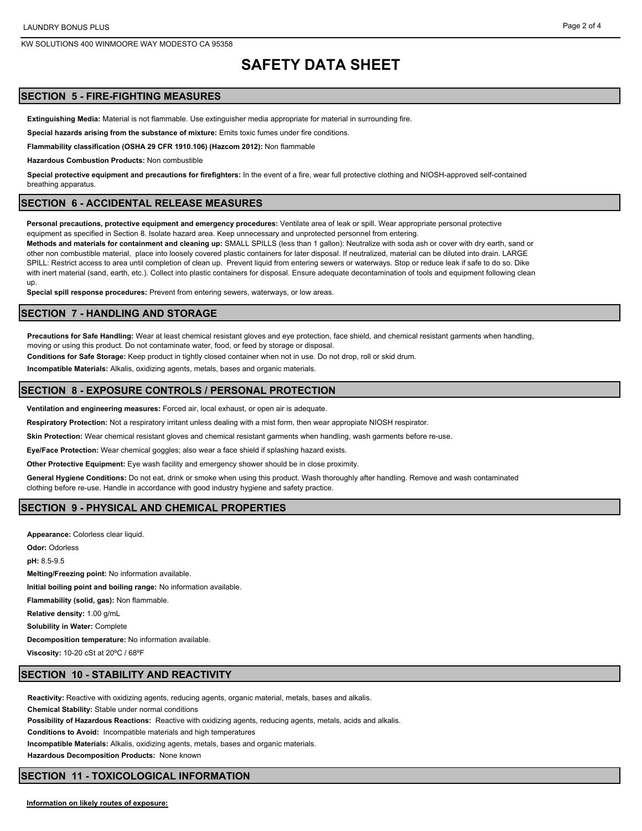## **SAFETY DATA SHEET**

## **SECTION 5 - FIRE-FIGHTING MEASURES**

**Extinguishing Media:** Material is not flammable. Use extinguisher media appropriate for material in surrounding fire.

**Special hazards arising from the substance of mixture:** Emits toxic fumes under fire conditions.

**Flammability classification (OSHA 29 CFR 1910.106) (Hazcom 2012):** Non flammable

**Hazardous Combustion Products:** Non combustible

**Special protective equipment and precautions for firefighters:** In the event of a fire, wear full protective clothing and NIOSH-approved self-contained breathing apparatus.

#### **SECTION 6 - ACCIDENTAL RELEASE MEASURES**

**Personal precautions, protective equipment and emergency procedures:** Ventilate area of leak or spill. Wear appropriate personal protective equipment as specified in Section 8. Isolate hazard area. Keep unnecessary and unprotected personnel from entering.

**Methods and materials for containment and cleaning up:** SMALL SPILLS (less than 1 gallon): Neutralize with soda ash or cover with dry earth, sand or other non combustible material, place into loosely covered plastic containers for later disposal. If neutralized, material can be diluted into drain. LARGE SPILL: Restrict access to area until completion of clean up. Prevent liquid from entering sewers or waterways. Stop or reduce leak if safe to do so. Dike with inert material (sand, earth, etc.). Collect into plastic containers for disposal. Ensure adequate decontamination of tools and equipment following clean up.

**Special spill response procedures:** Prevent from entering sewers, waterways, or low areas.

#### **SECTION 7 - HANDLING AND STORAGE**

**Precautions for Safe Handling:** Wear at least chemical resistant gloves and eye protection, face shield, and chemical resistant garments when handling, moving or using this product. Do not contaminate water, food, or feed by storage or disposal.

**Conditions for Safe Storage:** Keep product in tightly closed container when not in use. Do not drop, roll or skid drum.

**Incompatible Materials:** Alkalis, oxidizing agents, metals, bases and organic materials.

#### **SECTION 8 - EXPOSURE CONTROLS / PERSONAL PROTECTION**

**Ventilation and engineering measures:** Forced air, local exhaust, or open air is adequate.

**Respiratory Protection:** Not a respiratory irritant unless dealing with a mist form, then wear appropiate NIOSH respirator.

**Skin Protection:** Wear chemical resistant gloves and chemical resistant garments when handling, wash garments before re-use.

**Eye/Face Protection:** Wear chemical goggles; also wear a face shield if splashing hazard exists.

**Other Protective Equipment:** Eye wash facility and emergency shower should be in close proximity.

**General Hygiene Conditions:** Do not eat, drink or smoke when using this product. Wash thoroughly after handling. Remove and wash contaminated clothing before re-use. Handle in accordance with good industry hygiene and safety practice.

### **SECTION 9 - PHYSICAL AND CHEMICAL PROPERTIES**

**Appearance:** Colorless clear liquid. **Odor:** Odorless **pH:** 8.5-9.5 **Melting/Freezing point:** No information available. **Initial boiling point and boiling range:** No information available. **Flammability (solid, gas):** Non flammable. **Relative density:** 1.00 g/mL **Solubility in Water:** Complete **Decomposition temperature:** No information available. **Viscosity:** 10-20 cSt at 20ºC / 68ºF

## **SECTION 10 - STABILITY AND REACTIVITY**

**Reactivity:** Reactive with oxidizing agents, reducing agents, organic material, metals, bases and alkalis.

**Chemical Stability:** Stable under normal conditions

**Possibility of Hazardous Reactions:** Reactive with oxidizing agents, reducing agents, metals, acids and alkalis.

**Conditions to Avoid:** Incompatible materials and high temperatures

**Incompatible Materials:** Alkalis, oxidizing agents, metals, bases and organic materials.

**Hazardous Decomposition Products:** None known

### **SECTION 11 - TOXICOLOGICAL INFORMATION**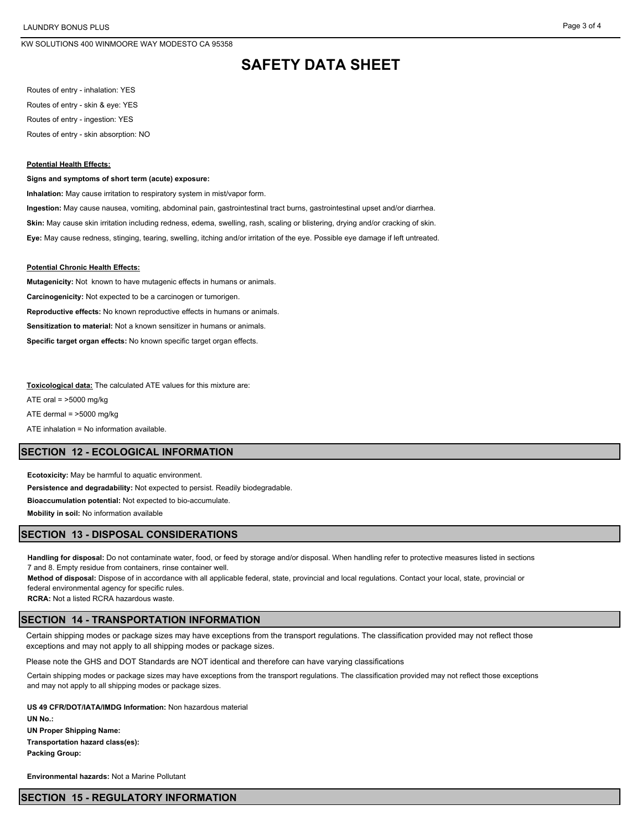## **SAFETY DATA SHEET**

Routes of entry - inhalation: YES Routes of entry - skin & eye: YES Routes of entry - ingestion: YES Routes of entry - skin absorption: NO

#### **Potential Health Effects:**

#### **Signs and symptoms of short term (acute) exposure:**

**Inhalation:** May cause irritation to respiratory system in mist/vapor form.

**Ingestion:** May cause nausea, vomiting, abdominal pain, gastrointestinal tract burns, gastrointestinal upset and/or diarrhea.

**Skin:** May cause skin irritation including redness, edema, swelling, rash, scaling or blistering, drying and/or cracking of skin.

**Eye:** May cause redness, stinging, tearing, swelling, itching and/or irritation of the eye. Possible eye damage if left untreated.

#### **Potential Chronic Health Effects:**

**Mutagenicity:** Not known to have mutagenic effects in humans or animals. **Carcinogenicity:** Not expected to be a carcinogen or tumorigen. **Reproductive effects:** No known reproductive effects in humans or animals. **Sensitization to material:** Not a known sensitizer in humans or animals. **Specific target organ effects:** No known specific target organ effects.

**Toxicological data:** The calculated ATE values for this mixture are:

ATE oral  $=$  >5000 mg/kg

ATE dermal = >5000 mg/kg

ATE inhalation = No information available.

## **SECTION 12 - ECOLOGICAL INFORMATION**

**Ecotoxicity:** May be harmful to aquatic environment.

**Persistence and degradability:** Not expected to persist. Readily biodegradable.

**Bioaccumulation potential:** Not expected to bio-accumulate.

**Mobility in soil:** No information available

### **SECTION 13 - DISPOSAL CONSIDERATIONS**

**Handling for disposal:** Do not contaminate water, food, or feed by storage and/or disposal. When handling refer to protective measures listed in sections 7 and 8. Empty residue from containers, rinse container well.

**Method of disposal:** Dispose of in accordance with all applicable federal, state, provincial and local regulations. Contact your local, state, provincial or federal environmental agency for specific rules.

**RCRA:** Not a listed RCRA hazardous waste.

#### **SECTION 14 - TRANSPORTATION INFORMATION**

Certain shipping modes or package sizes may have exceptions from the transport regulations. The classification provided may not reflect those exceptions and may not apply to all shipping modes or package sizes.

Please note the GHS and DOT Standards are NOT identical and therefore can have varying classifications

Certain shipping modes or package sizes may have exceptions from the transport regulations. The classification provided may not reflect those exceptions and may not apply to all shipping modes or package sizes.

**US 49 CFR/DOT/IATA/IMDG Information:** Non hazardous material **UN No.: UN Proper Shipping Name: Transportation hazard class(es): Packing Group:** 

**Environmental hazards:** Not a Marine Pollutant